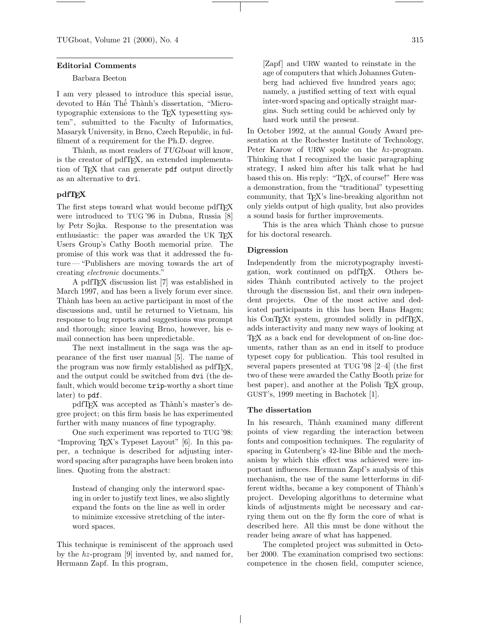#### Editorial Comments

#### Barbara Beeton

I am very pleased to introduce this special issue, devoted to Hán Thế Thành's dissertation, "Microtypographic extensions to the TEX typesetting system", submitted to the Faculty of Informatics, Masaryk University, in Brno, Czech Republic, in fulfilment of a requirement for the Ph.D. degree.

Thành, as most readers of TUGboat will know, is the creator of pdfTEX, an extended implementation of TEX that can generate pdf output directly as an alternative to dvi.

## pdfTEX

The first steps toward what would become pdfTEX were introduced to TUG '96 in Dubna, Russia [8] by Petr Sojka. Response to the presentation was enthusiastic: the paper was awarded the UK TFX Users Group's Cathy Booth memorial prize. The promise of this work was that it addressed the future — "Publishers are moving towards the art of creating electronic documents."

A pdfTEX discussion list [7] was established in March 1997, and has been a lively forum ever since. Thành has been an active participant in most of the discussions and, until he returned to Vietnam, his response to bug reports and suggestions was prompt and thorough; since leaving Brno, however, his email connection has been unpredictable.

The next installment in the saga was the appearance of the first user manual [5]. The name of the program was now firmly established as pdfT<sub>E</sub>X, and the output could be switched from dvi (the default, which would become trip-worthy a short time later) to pdf.

pdfT<sub>F</sub>X was accepted as Thành's master's degree project; on this firm basis he has experimented further with many nuances of fine typography.

One such experiment was reported to TUG '98: "Improving TEX's Typeset Layout" [6]. In this paper, a technique is described for adjusting interword spacing after paragraphs have been broken into lines. Quoting from the abstract:

Instead of changing only the interword spacing in order to justify text lines, we also slightly expand the fonts on the line as well in order to minimize excessive stretching of the interword spaces.

This technique is reminiscent of the approach used by the  $hz$ -program [9] invented by, and named for, Hermann Zapf. In this program,

[Zapf] and URW wanted to reinstate in the age of computers that which Johannes Gutenberg had achieved five hundred years ago; namely, a justified setting of text with equal inter-word spacing and optically straight margins. Such setting could be achieved only by hard work until the present.

In October 1992, at the annual Goudy Award presentation at the Rochester Institute of Technology, Peter Karow of URW spoke on the hz-program. Thinking that I recognized the basic paragraphing strategy, I asked him after his talk what he had based this on. His reply: "TEX, of course!" Here was a demonstration, from the "traditional" typesetting community, that TEX's line-breaking algorithm not only yields output of high quality, but also provides a sound basis for further improvements.

This is the area which Thành chose to pursue for his doctoral research.

#### Digression

Independently from the microtypography investigation, work continued on pdfTEX. Others besides Thành contributed actively to the project through the discussion list, and their own independent projects. One of the most active and dedicated participants in this has been Hans Hagen; his ConTEXt system, grounded solidly in pdfTEX, adds interactivity and many new ways of looking at TEX as a back end for development of on-line documents, rather than as an end in itself to produce typeset copy for publication. This tool resulted in several papers presented at TUG '98 [2–4] (the first two of these were awarded the Cathy Booth prize for best paper), and another at the Polish TEX group, GUST's, 1999 meeting in Bachotek [1].

## The dissertation

In his research, Thành examined many different points of view regarding the interaction between fonts and composition techniques. The regularity of spacing in Gutenberg's 42-line Bible and the mechanism by which this effect was achieved were important influences. Hermann Zapf's analysis of this mechanism, the use of the same letterforms in different widths, became a key component of Thành's project. Developing algorithms to determine what kinds of adjustments might be necessary and carrying them out on the fly form the core of what is described here. All this must be done without the reader being aware of what has happened.

The completed project was submitted in October 2000. The examination comprised two sections: competence in the chosen field, computer science,